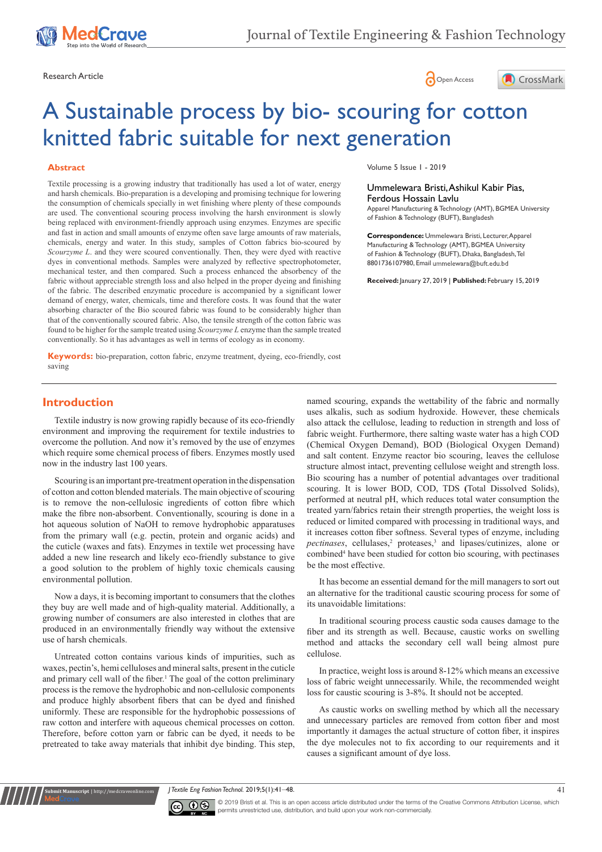





# A Sustainable process by bio- scouring for cotton knitted fabric suitable for next generation

## **Abstract**

Textile processing is a growing industry that traditionally has used a lot of water, energy and harsh chemicals. Bio-preparation is a developing and promising technique for lowering the consumption of chemicals specially in wet finishing where plenty of these compounds are used. The conventional scouring process involving the harsh environment is slowly being replaced with environment-friendly approach using enzymes. Enzymes are specific and fast in action and small amounts of enzyme often save large amounts of raw materials, chemicals, energy and water. In this study, samples of Cotton fabrics bio-scoured by *Scourzyme L*. and they were scoured conventionally. Then, they were dyed with reactive dyes in conventional methods. Samples were analyzed by reflective spectrophotometer, mechanical tester, and then compared. Such a process enhanced the absorbency of the fabric without appreciable strength loss and also helped in the proper dyeing and finishing of the fabric. The described enzymatic procedure is accompanied by a significant lower demand of energy, water, chemicals, time and therefore costs. It was found that the water absorbing character of the Bio scoured fabric was found to be considerably higher than that of the conventionally scoured fabric. Also, the tensile strength of the cotton fabric was found to be higher for the sample treated using *Scourzyme L* enzyme than the sample treated conventionally. So it has advantages as well in terms of ecology as in economy.

**Keywords:** bio-preparation, cotton fabric, enzyme treatment, dyeing, eco-friendly, cost saving

Volume 5 Issue 1 - 2019

### Ummelewara Bristi, Ashikul Kabir Pias, Ferdous Hossain Lavlu

Apparel Manufacturing & Technology (AMT), BGMEA University of Fashion & Technology (BUFT), Bangladesh

**Correspondence:** Ummelewara Bristi, Lecturer, Apparel Manufacturing & Technology (AMT), BGMEA University of Fashion & Technology (BUFT), Dhaka, Bangladesh, Tel 8801736107980, Email ummelewara@buft.edu.bd

**Received:** January 27, 2019 | **Published:** February 15, 2019

# **Introduction**

Textile industry is now growing rapidly because of its eco-friendly environment and improving the requirement for textile industries to overcome the pollution. And now it's removed by the use of enzymes which require some chemical process of fibers. Enzymes mostly used now in the industry last 100 years.

Scouring is an important pre-treatment operation in the dispensation of cotton and cotton blended materials. The main objective of scouring is to remove the non-cellulosic ingredients of cotton fibre which make the fibre non-absorbent. Conventionally, scouring is done in a hot aqueous solution of NaOH to remove hydrophobic apparatuses from the primary wall (e.g. pectin, protein and organic acids) and the cuticle (waxes and fats). Enzymes in textile wet processing have added a new line research and likely eco-friendly substance to give a good solution to the problem of highly toxic chemicals causing environmental pollution.

Now a days, it is becoming important to consumers that the clothes they buy are well made and of high-quality material. Additionally, a growing number of consumers are also interested in clothes that are produced in an environmentally friendly way without the extensive use of harsh chemicals.

Untreated cotton contains various kinds of impurities, such as waxes, pectin's, hemi celluloses and mineral salts, present in the cuticle and primary cell wall of the fiber.<sup>1</sup> The goal of the cotton preliminary process is the remove the hydrophobic and non-cellulosic components and produce highly absorbent fibers that can be dyed and finished uniformly. These are responsible for the hydrophobic possessions of raw cotton and interfere with aqueous chemical processes on cotton. Therefore, before cotton yarn or fabric can be dyed, it needs to be pretreated to take away materials that inhibit dye binding. This step,

named scouring, expands the wettability of the fabric and normally uses alkalis, such as sodium hydroxide. However, these chemicals also attack the cellulose, leading to reduction in strength and loss of fabric weight. Furthermore, there salting waste water has a high COD (Chemical Oxygen Demand), BOD (Biological Oxygen Demand) and salt content. Enzyme reactor bio scouring, leaves the cellulose structure almost intact, preventing cellulose weight and strength loss. Bio scouring has a number of potential advantages over traditional scouring. It is lower BOD, COD, TDS **(**Total Dissolved Solids), performed at neutral pH, which reduces total water consumption the treated yarn/fabrics retain their strength properties, the weight loss is reduced or limited compared with processing in traditional ways, and it increases cotton fiber softness. Several types of enzyme, including pectinases, cellulases,<sup>2</sup> proteases,<sup>3</sup> and lipases/cutinizes, alone or combined<sup>4</sup> have been studied for cotton bio scouring, with pectinases be the most effective.

It has become an essential demand for the mill managers to sort out an alternative for the traditional caustic scouring process for some of its unavoidable limitations:

In traditional scouring process caustic soda causes damage to the fiber and its strength as well. Because, caustic works on swelling method and attacks the secondary cell wall being almost pure cellulose.

In practice, weight loss is around 8-12% which means an excessive loss of fabric weight unnecessarily. While, the recommended weight loss for caustic scouring is 3-8%. It should not be accepted.

As caustic works on swelling method by which all the necessary and unnecessary particles are removed from cotton fiber and most importantly it damages the actual structure of cotton fiber, it inspires the dye molecules not to fix according to our requirements and it causes a significant amount of dye loss.

*J Textile Eng Fashion Technol.* 2019;5(1):41‒48. 41



**nit Manuscript** | http://medcraveonline.

© 2019 Bristi et al. This is an open access article distributed under the terms of the [Creative Commons Attribution License](https://creativecommons.org/licenses/by-nc/4.0/), which permits unrestricted use, distribution, and build upon your work non-commercially.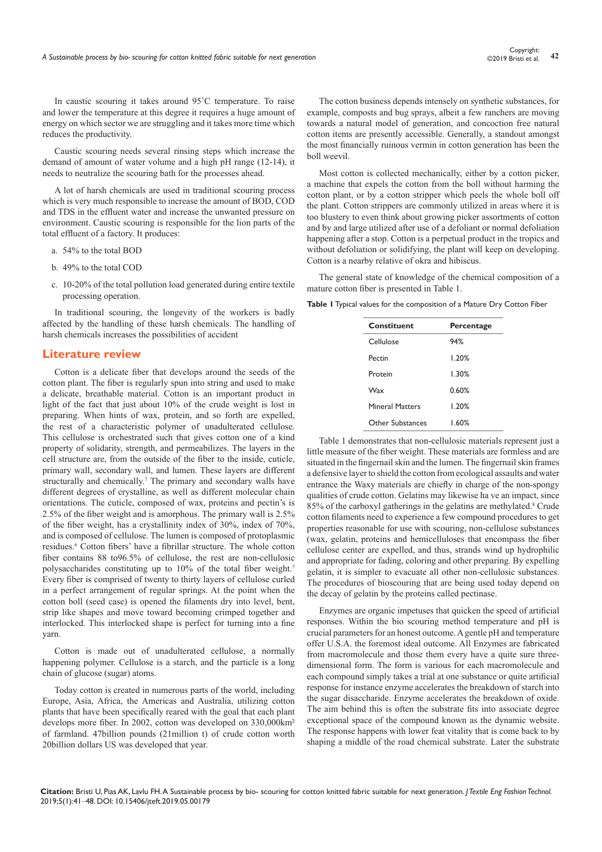©2019 Bristi et al.

In caustic scouring it takes around 95˚C temperature. To raise and lower the temperature at this degree it requires a huge amount of energy on which sector we are struggling and it takes more time which reduces the productivity.

Caustic scouring needs several rinsing steps which increase the demand of amount of water volume and a high pH range (12-14), it needs to neutralize the scouring bath for the processes ahead.

A lot of harsh chemicals are used in traditional scouring process which is very much responsible to increase the amount of BOD, COD and TDS in the effluent water and increase the unwanted pressure on environment. Caustic scouring is responsible for the lion parts of the total effluent of a factory. It produces:

- a. 54% to the total BOD
- b. 49% to the total COD
- c. 10-20% of the total pollution load generated during entire textile processing operation.

In traditional scouring, the longevity of the workers is badly affected by the handling of these harsh chemicals. The handling of harsh chemicals increases the possibilities of accident

# **Literature review**

Cotton is a delicate fiber that develops around the seeds of the cotton plant. The fiber is regularly spun into string and used to make a delicate, breathable material. Cotton is an important product in light of the fact that just about 10% of the crude weight is lost in preparing. When hints of wax, protein, and so forth are expelled, the rest of a characteristic polymer of unadulterated cellulose. This cellulose is orchestrated such that gives cotton one of a kind property of solidarity, strength, and permeabilizes. The layers in the cell structure are, from the outside of the fiber to the inside, cuticle, primary wall, secondary wall, and lumen. These layers are different structurally and chemically.<sup>7</sup> The primary and secondary walls have different degrees of crystalline, as well as different molecular chain orientations. The cuticle, composed of wax, proteins and pectin's is 2.5% of the fiber weight and is amorphous. The primary wall is 2.5% of the fiber weight, has a crystallinity index of 30%, index of 70%, and is composed of cellulose. The lumen is composed of protoplasmic residues.<sup>6</sup> Cotton fibers' have a fibrillar structure. The whole cotton fiber contains 88 to96.5% of cellulose, the rest are non-cellulosic polysaccharides constituting up to 10% of the total fiber weight.<sup>7</sup> Every fiber is comprised of twenty to thirty layers of cellulose curled in a perfect arrangement of regular springs. At the point when the cotton boll (seed case) is opened the filaments dry into level, bent, strip like shapes and move toward becoming crimped together and interlocked. This interlocked shape is perfect for turning into a fine yarn.

Cotton is made out of unadulterated cellulose, a normally happening polymer. Cellulose is a starch, and the particle is a long chain of glucose (sugar) atoms.

Today cotton is created in numerous parts of the world, including Europe, Asia, Africa, the Americas and Australia, utilizing cotton plants that have been specifically reared with the goal that each plant develops more fiber. In 2002, cotton was developed on 330,000km² of farmland. 47billion pounds (21million t) of crude cotton worth 20billion dollars US was developed that year.

The cotton business depends intensely on synthetic substances, for example, composts and bug sprays, albeit a few ranchers are moving towards a natural model of generation, and concoction free natural cotton items are presently accessible. Generally, a standout amongst the most financially ruinous vermin in cotton generation has been the boll weevil.

Most cotton is collected mechanically, either by a cotton picker, a machine that expels the cotton from the boll without harming the cotton plant, or by a cotton stripper which peels the whole boll off the plant. Cotton strippers are commonly utilized in areas where it is too blustery to even think about growing picker assortments of cotton and by and large utilized after use of a defoliant or normal defoliation happening after a stop. Cotton is a perpetual product in the tropics and without defoliation or solidifying, the plant will keep on developing. Cotton is a nearby relative of okra and hibiscus.

The general state of knowledge of the chemical composition of a mature cotton fiber is presented in Table 1.

**Table 1** Typical values for the composition of a Mature Dry Cotton Fiber

| Constituent            | Percentage |  |  |
|------------------------|------------|--|--|
| Cellulose              | 94%        |  |  |
| Pectin                 | 1.20%      |  |  |
| Protein                | 1.30%      |  |  |
| Wax                    | 0.60%      |  |  |
| <b>Mineral Matters</b> | 1.20%      |  |  |
| Other Substances       | 1.60%      |  |  |

Table 1 demonstrates that non-cellulosic materials represent just a little measure of the fiber weight. These materials are formless and are situated in the fingernail skin and the lumen. The fingernail skin frames a defensive layer to shield the cotton from ecological assaults and water entrance the Waxy materials are chiefly in charge of the non-spongy qualities of crude cotton. Gelatins may likewise ha ve an impact, since 85% of the carboxyl gatherings in the gelatins are methylated.<sup>8</sup> Crude cotton filaments need to experience a few compound procedures to get properties reasonable for use with scouring, non-cellulose substances (wax, gelatin, proteins and hemicelluloses that encompass the fiber cellulose center are expelled, and thus, strands wind up hydrophilic and appropriate for fading, coloring and other preparing. By expelling gelatin, it is simpler to evacuate all other non-cellulosic substances. The procedures of bioscouring that are being used today depend on the decay of gelatin by the proteins called pectinase.

Enzymes are organic impetuses that quicken the speed of artificial responses. Within the bio scouring method temperature and pH is crucial parameters for an honest outcome. A gentle pH and temperature offer U.S.A. the foremost ideal outcome. All Enzymes are fabricated from macromolecule and those them every have a quite sure threedimensional form. The form is various for each macromolecule and each compound simply takes a trial at one substance or quite artificial response for instance enzyme accelerates the breakdown of starch into the sugar disaccharide. Enzyme accelerates the breakdown of oxide. The aim behind this is often the substrate fits into associate degree exceptional space of the compound known as the dynamic website. The response happens with lower feat vitality that is come back to by shaping a middle of the road chemical substrate. Later the substrate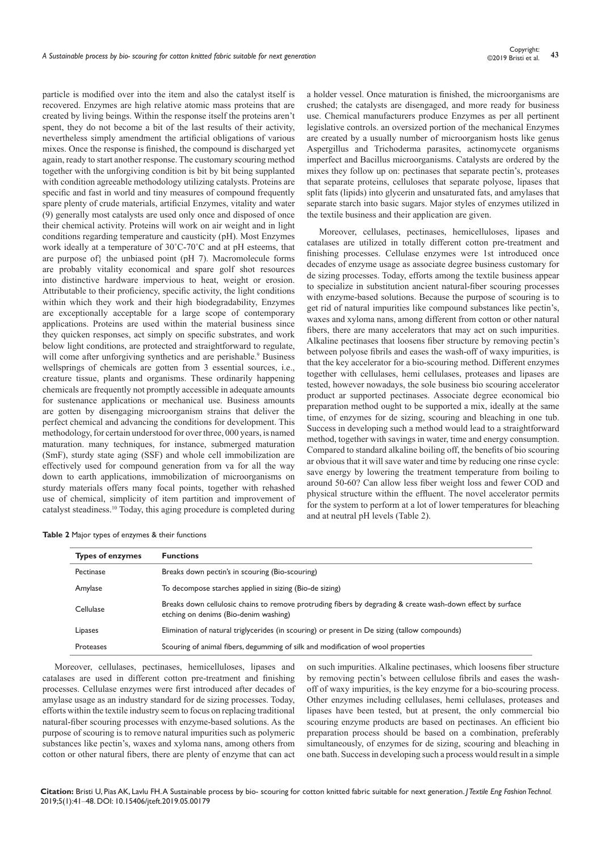particle is modified over into the item and also the catalyst itself is recovered. Enzymes are high relative atomic mass proteins that are created by living beings. Within the response itself the proteins aren't spent, they do not become a bit of the last results of their activity, nevertheless simply amendment the artificial obligations of various mixes. Once the response is finished, the compound is discharged yet again, ready to start another response. The customary scouring method together with the unforgiving condition is bit by bit being supplanted with condition agreeable methodology utilizing catalysts. Proteins are specific and fast in world and tiny measures of compound frequently spare plenty of crude materials, artificial Enzymes, vitality and water (9) generally most catalysts are used only once and disposed of once their chemical activity. Proteins will work on air weight and in light conditions regarding temperature and causticity (pH). Most Enzymes work ideally at a temperature of 30˚C-70˚C and at pH esteems, that are purpose of} the unbiased point (pH 7). Macromolecule forms are probably vitality economical and spare golf shot resources into distinctive hardware impervious to heat, weight or erosion. Attributable to their proficiency, specific activity, the light conditions within which they work and their high biodegradability, Enzymes are exceptionally acceptable for a large scope of contemporary applications. Proteins are used within the material business since they quicken responses, act simply on specific substrates, and work below light conditions, are protected and straightforward to regulate, will come after unforgiving synthetics and are perishable.<sup>9</sup> Business wellsprings of chemicals are gotten from 3 essential sources, i.e., creature tissue, plants and organisms. These ordinarily happening chemicals are frequently not promptly accessible in adequate amounts for sustenance applications or mechanical use. Business amounts are gotten by disengaging microorganism strains that deliver the perfect chemical and advancing the conditions for development. This methodology, for certain understood for over three, 000 years, is named maturation. many techniques, for instance, submerged maturation (SmF), sturdy state aging (SSF) and whole cell immobilization are effectively used for compound generation from va for all the way down to earth applications, immobilization of microorganisms on sturdy materials offers many focal points, together with rehashed use of chemical, simplicity of item partition and improvement of catalyst steadiness.10 Today, this aging procedure is completed during

a holder vessel. Once maturation is finished, the microorganisms are crushed; the catalysts are disengaged, and more ready for business use. Chemical manufacturers produce Enzymes as per all pertinent legislative controls. an oversized portion of the mechanical Enzymes are created by a usually number of microorganism hosts like genus Aspergillus and Trichoderma parasites, actinomycete organisms imperfect and Bacillus microorganisms. Catalysts are ordered by the mixes they follow up on: pectinases that separate pectin's, proteases that separate proteins, celluloses that separate polyose, lipases that split fats (lipids) into glycerin and unsaturated fats, and amylases that separate starch into basic sugars. Major styles of enzymes utilized in the textile business and their application are given.

Moreover, cellulases, pectinases, hemicelluloses, lipases and catalases are utilized in totally different cotton pre-treatment and finishing processes. Cellulase enzymes were 1st introduced once decades of enzyme usage as associate degree business customary for de sizing processes. Today, efforts among the textile business appear to specialize in substitution ancient natural-fiber scouring processes with enzyme-based solutions. Because the purpose of scouring is to get rid of natural impurities like compound substances like pectin's, waxes and xyloma nans, among different from cotton or other natural fibers, there are many accelerators that may act on such impurities. Alkaline pectinases that loosens fiber structure by removing pectin's between polyose fibrils and eases the wash-off of waxy impurities, is that the key accelerator for a bio-scouring method. Different enzymes together with cellulases, hemi cellulases, proteases and lipases are tested, however nowadays, the sole business bio scouring accelerator product ar supported pectinases. Associate degree economical bio preparation method ought to be supported a mix, ideally at the same time, of enzymes for de sizing, scouring and bleaching in one tub. Success in developing such a method would lead to a straightforward method, together with savings in water, time and energy consumption. Compared to standard alkaline boiling off, the benefits of bio scouring ar obvious that it will save water and time by reducing one rinse cycle: save energy by lowering the treatment temperature from boiling to around 50-60? Can allow less fiber weight loss and fewer COD and physical structure within the effluent. The novel accelerator permits for the system to perform at a lot of lower temperatures for bleaching and at neutral pH levels (Table 2).

|  |  |  |  |  |  | Table 2 Major types of enzymes & their functions |
|--|--|--|--|--|--|--------------------------------------------------|
|--|--|--|--|--|--|--------------------------------------------------|

| <b>Functions</b>                                                                                                                                     |
|------------------------------------------------------------------------------------------------------------------------------------------------------|
| Breaks down pectin's in scouring (Bio-scouring)                                                                                                      |
| To decompose starches applied in sizing (Bio-de sizing)                                                                                              |
| Breaks down cellulosic chains to remove protruding fibers by degrading & create wash-down effect by surface<br>etching on denims (Bio-denim washing) |
| Elimination of natural triglycerides (in scouring) or present in De sizing (tallow compounds)                                                        |
| Scouring of animal fibers, degumming of silk and modification of wool properties                                                                     |
|                                                                                                                                                      |

Moreover, cellulases, pectinases, hemicelluloses, lipases and catalases are used in different cotton pre-treatment and finishing processes. Cellulase enzymes were first introduced after decades of amylase usage as an industry standard for de sizing processes. Today, efforts within the textile industry seem to focus on replacing traditional natural-fiber scouring processes with enzyme-based solutions. As the purpose of scouring is to remove natural impurities such as polymeric substances like pectin's, waxes and xyloma nans, among others from cotton or other natural fibers, there are plenty of enzyme that can act

on such impurities. Alkaline pectinases, which loosens fiber structure by removing pectin's between cellulose fibrils and eases the washoff of waxy impurities, is the key enzyme for a bio-scouring process. Other enzymes including cellulases, hemi cellulases, proteases and lipases have been tested, but at present, the only commercial bio scouring enzyme products are based on pectinases. An efficient bio preparation process should be based on a combination, preferably simultaneously, of enzymes for de sizing, scouring and bleaching in one bath. Success in developing such a process would result in a simple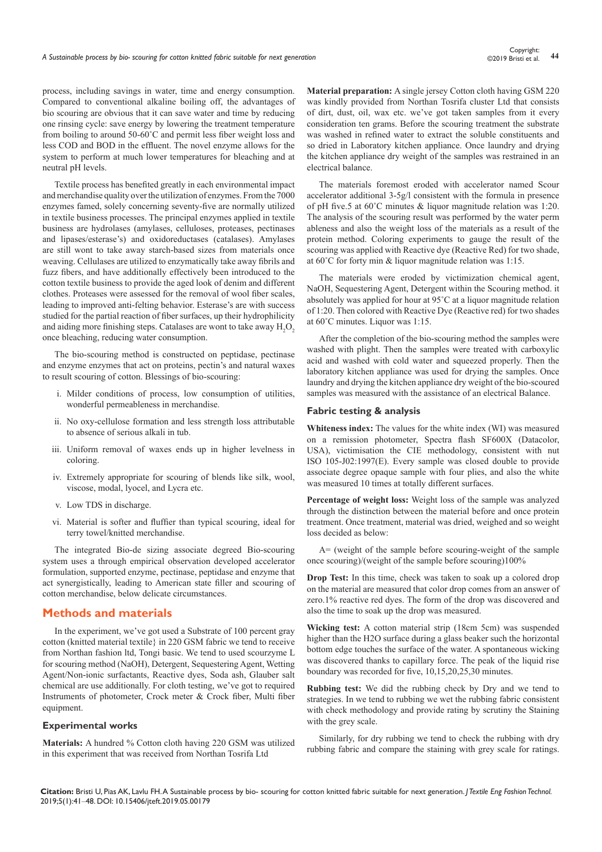process, including savings in water, time and energy consumption. Compared to conventional alkaline boiling off, the advantages of bio scouring are obvious that it can save water and time by reducing one rinsing cycle: save energy by lowering the treatment temperature from boiling to around 50-60˚C and permit less fiber weight loss and less COD and BOD in the effluent. The novel enzyme allows for the system to perform at much lower temperatures for bleaching and at neutral pH levels.

Textile process has benefited greatly in each environmental impact and merchandise quality over the utilization of enzymes. From the 7000 enzymes famed, solely concerning seventy-five are normally utilized in textile business processes. The principal enzymes applied in textile business are hydrolases (amylases, celluloses, proteases, pectinases and lipases/esterase's) and oxidoreductases (catalases). Amylases are still wont to take away starch-based sizes from materials once weaving. Cellulases are utilized to enzymatically take away fibrils and fuzz fibers, and have additionally effectively been introduced to the cotton textile business to provide the aged look of denim and different clothes. Proteases were assessed for the removal of wool fiber scales, leading to improved anti-felting behavior. Esterase's are with success studied for the partial reaction of fiber surfaces, up their hydrophilicity and aiding more finishing steps. Catalases are wont to take away  $H_2O_2$ once bleaching, reducing water consumption.

The bio-scouring method is constructed on peptidase, pectinase and enzyme enzymes that act on proteins, pectin's and natural waxes to result scouring of cotton. Blessings of bio-scouring:

- i. Milder conditions of process, low consumption of utilities, wonderful permeableness in merchandise.
- ii. No oxy-cellulose formation and less strength loss attributable to absence of serious alkali in tub.
- iii. Uniform removal of waxes ends up in higher levelness in coloring.
- iv. Extremely appropriate for scouring of blends like silk, wool, viscose, modal, lyocel, and Lycra etc.
- v. Low TDS in discharge.
- vi. Material is softer and fluffier than typical scouring, ideal for terry towel/knitted merchandise.

The integrated Bio-de sizing associate degreed Bio-scouring system uses a through empirical observation developed accelerator formulation, supported enzyme, pectinase, peptidase and enzyme that act synergistically, leading to American state filler and scouring of cotton merchandise, below delicate circumstances.

# **Methods and materials**

In the experiment, we've got used a Substrate of 100 percent gray cotton (knitted material textile} in 220 GSM fabric we tend to receive from Northan fashion ltd, Tongi basic. We tend to used scourzyme L for scouring method (NaOH), Detergent, Sequestering Agent, Wetting Agent/Non-ionic surfactants, Reactive dyes, Soda ash, Glauber salt chemical are use additionally. For cloth testing, we've got to required Instruments of photometer, Crock meter & Crock fiber, Multi fiber equipment.

## **Experimental works**

**Materials:** A hundred % Cotton cloth having 220 GSM was utilized in this experiment that was received from Northan Tosrifa Ltd

**Material preparation:** A single jersey Cotton cloth having GSM 220 was kindly provided from Northan Tosrifa cluster Ltd that consists of dirt, dust, oil, wax etc. we've got taken samples from it every consideration ten grams. Before the scouring treatment the substrate was washed in refined water to extract the soluble constituents and so dried in Laboratory kitchen appliance. Once laundry and drying the kitchen appliance dry weight of the samples was restrained in an electrical balance.

The materials foremost eroded with accelerator named Scour accelerator additional 3-5g/l consistent with the formula in presence of pH five.5 at 60˚C minutes & liquor magnitude relation was 1:20. The analysis of the scouring result was performed by the water perm ableness and also the weight loss of the materials as a result of the protein method. Coloring experiments to gauge the result of the scouring was applied with Reactive dye (Reactive Red) for two shade, at 60˚C for forty min & liquor magnitude relation was 1:15.

The materials were eroded by victimization chemical agent, NaOH, Sequestering Agent, Detergent within the Scouring method. it absolutely was applied for hour at 95˚C at a liquor magnitude relation of 1:20. Then colored with Reactive Dye (Reactive red) for two shades at 60˚C minutes. Liquor was 1:15.

After the completion of the bio-scouring method the samples were washed with plight. Then the samples were treated with carboxylic acid and washed with cold water and squeezed properly. Then the laboratory kitchen appliance was used for drying the samples. Once laundry and drying the kitchen appliance dry weight of the bio-scoured samples was measured with the assistance of an electrical Balance.

#### **Fabric testing & analysis**

**Whiteness index:** The values for the white index (WI) was measured on a remission photometer, Spectra flash SF600X (Datacolor, USA), victimisation the CIE methodology, consistent with nut ISO 105-J02:1997(E). Every sample was closed double to provide associate degree opaque sample with four plies, and also the white was measured 10 times at totally different surfaces.

**Percentage of weight loss:** Weight loss of the sample was analyzed through the distinction between the material before and once protein treatment. Once treatment, material was dried, weighed and so weight loss decided as below:

A= (weight of the sample before scouring-weight of the sample once scouring)/(weight of the sample before scouring)100%

**Drop Test:** In this time, check was taken to soak up a colored drop on the material are measured that color drop comes from an answer of zero.1% reactive red dyes. The form of the drop was discovered and also the time to soak up the drop was measured.

**Wicking test:** A cotton material strip (18cm 5cm) was suspended higher than the H2O surface during a glass beaker such the horizontal bottom edge touches the surface of the water. A spontaneous wicking was discovered thanks to capillary force. The peak of the liquid rise boundary was recorded for five, 10,15,20,25,30 minutes.

**Rubbing test:** We did the rubbing check by Dry and we tend to strategies. In we tend to rubbing we wet the rubbing fabric consistent with check methodology and provide rating by scrutiny the Staining with the grey scale.

Similarly, for dry rubbing we tend to check the rubbing with dry rubbing fabric and compare the staining with grey scale for ratings.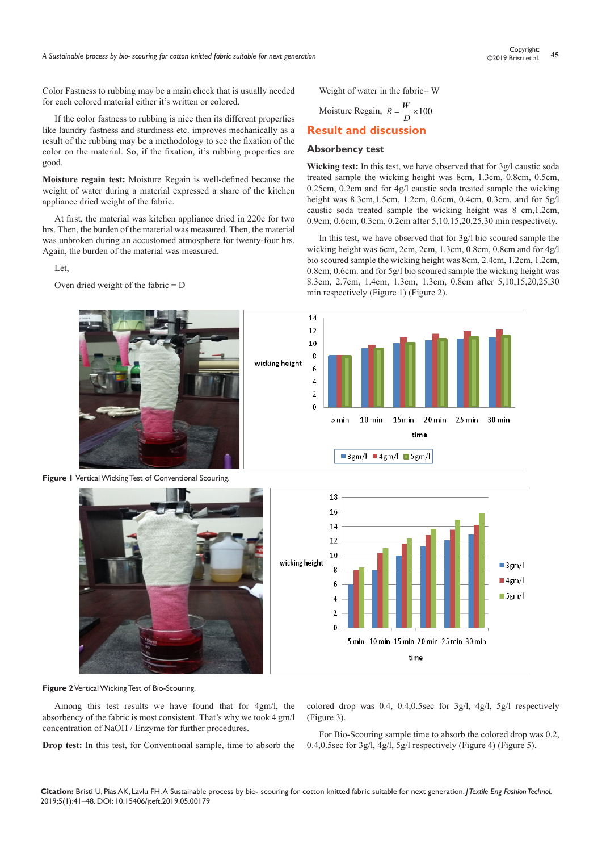Color Fastness to rubbing may be a main check that is usually needed for each colored material either it's written or colored.

If the color fastness to rubbing is nice then its different properties like laundry fastness and sturdiness etc. improves mechanically as a result of the rubbing may be a methodology to see the fixation of the color on the material. So, if the fixation, it's rubbing properties are good.

**Moisture regain test:** Moisture Regain is well-defined because the weight of water during a material expressed a share of the kitchen appliance dried weight of the fabric.

At first, the material was kitchen appliance dried in 220c for two hrs. Then, the burden of the material was measured. Then, the material was unbroken during an accustomed atmosphere for twenty-four hrs. Again, the burden of the material was measured.

Let,

Oven dried weight of the fabric = D



**Figure 1** Vertical Wicking Test of Conventional Scouring.





#### **Absorbency test**

**Wicking test:** In this test, we have observed that for 3g/l caustic soda treated sample the wicking height was 8cm, 1.3cm, 0.8cm, 0.5cm, 0.25cm, 0.2cm and for 4g/l caustic soda treated sample the wicking height was 8.3cm,1.5cm, 1.2cm, 0.6cm, 0.4cm, 0.3cm. and for 5g/l caustic soda treated sample the wicking height was 8 cm,1.2cm, 0.9cm, 0.6cm, 0.3cm, 0.2cm after 5,10,15,20,25,30 min respectively.

In this test, we have observed that for 3g/l bio scoured sample the wicking height was 6cm, 2cm, 2cm, 1.3cm, 0.8cm, 0.8cm and for 4g/l bio scoured sample the wicking height was 8cm, 2.4cm, 1.2cm, 1.2cm, 0.8cm, 0.6cm. and for 5g/l bio scoured sample the wicking height was 8.3cm, 2.7cm, 1.4cm, 1.3cm, 1.3cm, 0.8cm after 5,10,15,20,25,30 min respectively (Figure 1) (Figure 2).





#### **Figure 2** Vertical Wicking Test of Bio-Scouring.

Among this test results we have found that for 4gm/l, the absorbency of the fabric is most consistent. That's why we took 4 gm/l concentration of NaOH / Enzyme for further procedures.

**Drop test:** In this test, for Conventional sample, time to absorb the

colored drop was 0.4, 0.4,0.5sec for 3g/l, 4g/l, 5g/l respectively (Figure 3).

For Bio-Scouring sample time to absorb the colored drop was 0.2, 0.4,0.5sec for 3g/l, 4g/l, 5g/l respectively (Figure 4) (Figure 5).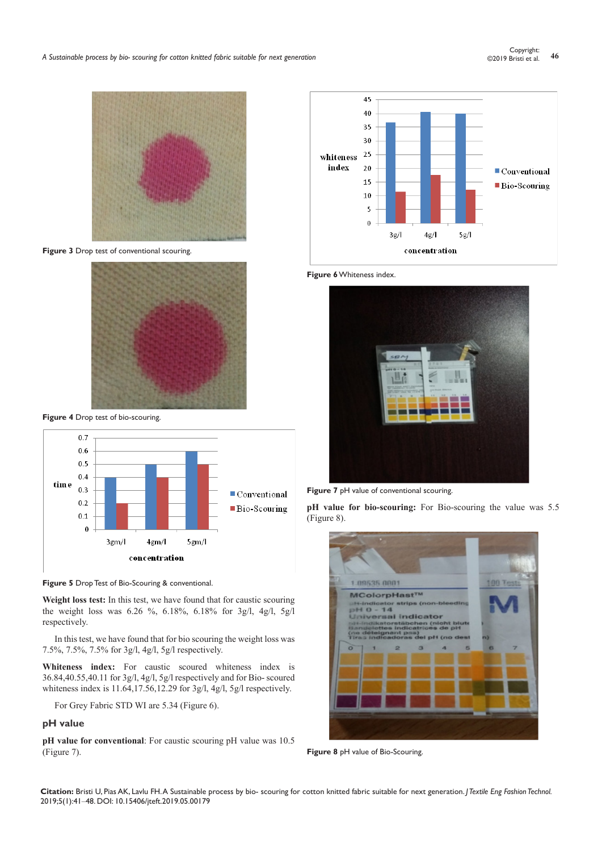

**Figure 3** Drop test of conventional scouring.



**Figure 4** Drop test of bio-scouring.



**Figure 5** Drop Test of Bio-Scouring & conventional.

**Weight loss test:** In this test, we have found that for caustic scouring the weight loss was 6.26 %, 6.18%, 6.18% for 3g/l, 4g/l, 5g/l respectively.

In this test, we have found that for bio scouring the weight loss was 7.5%, 7.5%, 7.5% for 3g/l, 4g/l, 5g/l respectively.

**Whiteness index:** For caustic scoured whiteness index is 36.84,40.55,40.11 for 3g/l, 4g/l, 5g/l respectively and for Bio- scoured whiteness index is 11.64,17.56,12.29 for 3g/l, 4g/l, 5g/l respectively.

For Grey Fabric STD WI are 5.34 (Figure 6).

# **pH value**

**pH value for conventional**: For caustic scouring pH value was 10.5 (Figure 7).



**Figure 6** Whiteness index.



**Figure 7** pH value of conventional scouring.

**pH value for bio-scouring:** For Bio-scouring the value was 5.5 (Figure 8).



**Figure 8** pH value of Bio-Scouring.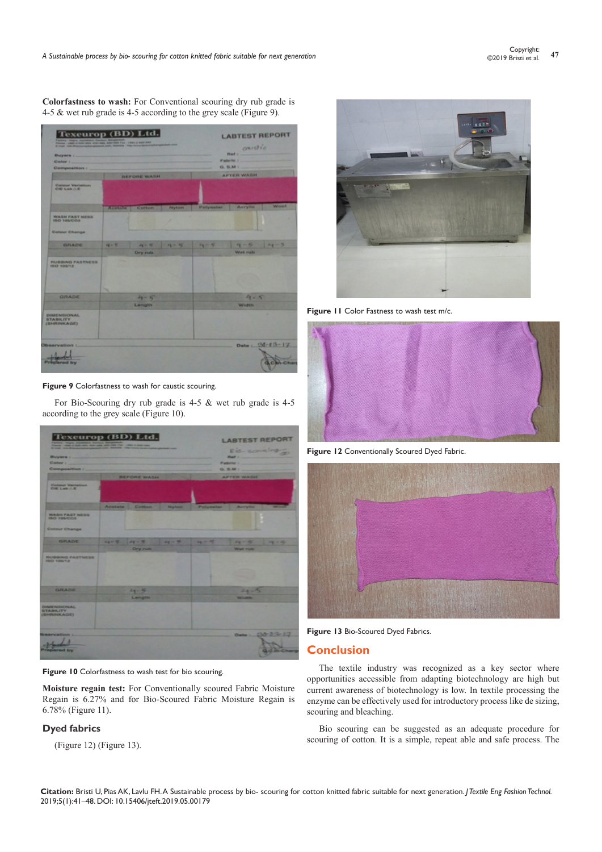**Colorfastness to wash:** For Conventional scouring dry rub grade is 4-5 & wet rub grade is 4-5 according to the grey scale (Figure 9).



## **Figure 9** Colorfastness to wash for caustic scouring.

For Bio-Scouring dry rub grade is 4-5 & wet rub grade is 4-5 according to the grey scale (Figure 10).



## **Figure 10** Colorfastness to wash test for bio scouring.

**Moisture regain test:** For Conventionally scoured Fabric Moisture Regain is 6.27% and for Bio-Scoured Fabric Moisture Regain is 6.78% (Figure 11).

# **Dyed fabrics**

(Figure 12) (Figure 13).



**Figure 11** Color Fastness to wash test m/c.



**Figure 12** Conventionally Scoured Dyed Fabric.





# **Conclusion**

The textile industry was recognized as a key sector where opportunities accessible from adapting biotechnology are high but current awareness of biotechnology is low. In textile processing the enzyme can be effectively used for introductory process like de sizing, scouring and bleaching.

Bio scouring can be suggested as an adequate procedure for scouring of cotton. It is a simple, repeat able and safe process. The